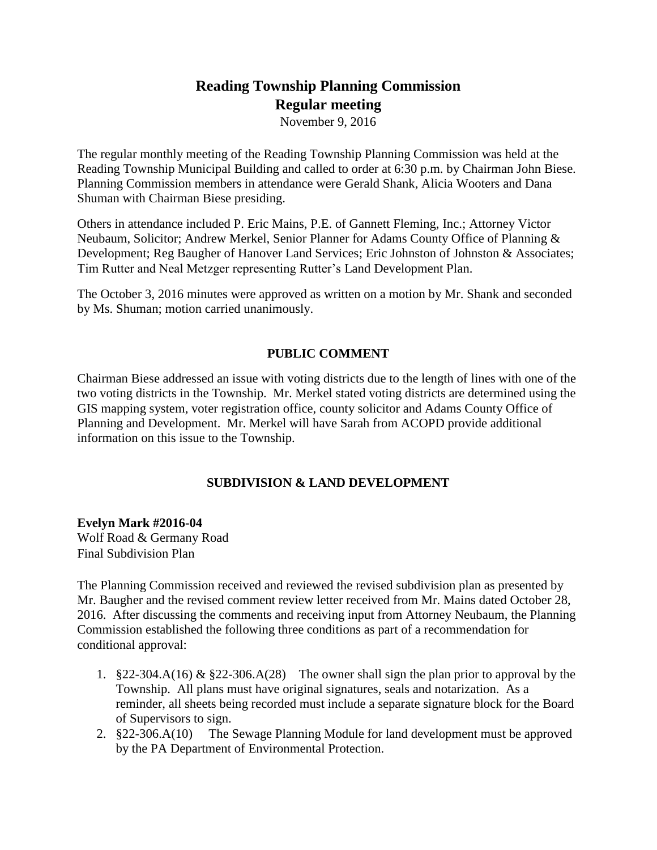# **Reading Township Planning Commission Regular meeting**

November 9, 2016

The regular monthly meeting of the Reading Township Planning Commission was held at the Reading Township Municipal Building and called to order at 6:30 p.m. by Chairman John Biese. Planning Commission members in attendance were Gerald Shank, Alicia Wooters and Dana Shuman with Chairman Biese presiding.

Others in attendance included P. Eric Mains, P.E. of Gannett Fleming, Inc.; Attorney Victor Neubaum, Solicitor; Andrew Merkel, Senior Planner for Adams County Office of Planning & Development; Reg Baugher of Hanover Land Services; Eric Johnston of Johnston & Associates; Tim Rutter and Neal Metzger representing Rutter's Land Development Plan.

The October 3, 2016 minutes were approved as written on a motion by Mr. Shank and seconded by Ms. Shuman; motion carried unanimously.

## **PUBLIC COMMENT**

Chairman Biese addressed an issue with voting districts due to the length of lines with one of the two voting districts in the Township. Mr. Merkel stated voting districts are determined using the GIS mapping system, voter registration office, county solicitor and Adams County Office of Planning and Development. Mr. Merkel will have Sarah from ACOPD provide additional information on this issue to the Township.

## **SUBDIVISION & LAND DEVELOPMENT**

**Evelyn Mark #2016-04** Wolf Road & Germany Road Final Subdivision Plan

The Planning Commission received and reviewed the revised subdivision plan as presented by Mr. Baugher and the revised comment review letter received from Mr. Mains dated October 28, 2016. After discussing the comments and receiving input from Attorney Neubaum, the Planning Commission established the following three conditions as part of a recommendation for conditional approval:

- 1.  $§22-304.A(16) \& §22-306.A(28)$  The owner shall sign the plan prior to approval by the Township. All plans must have original signatures, seals and notarization. As a reminder, all sheets being recorded must include a separate signature block for the Board of Supervisors to sign.
- 2. §22-306.A(10) The Sewage Planning Module for land development must be approved by the PA Department of Environmental Protection.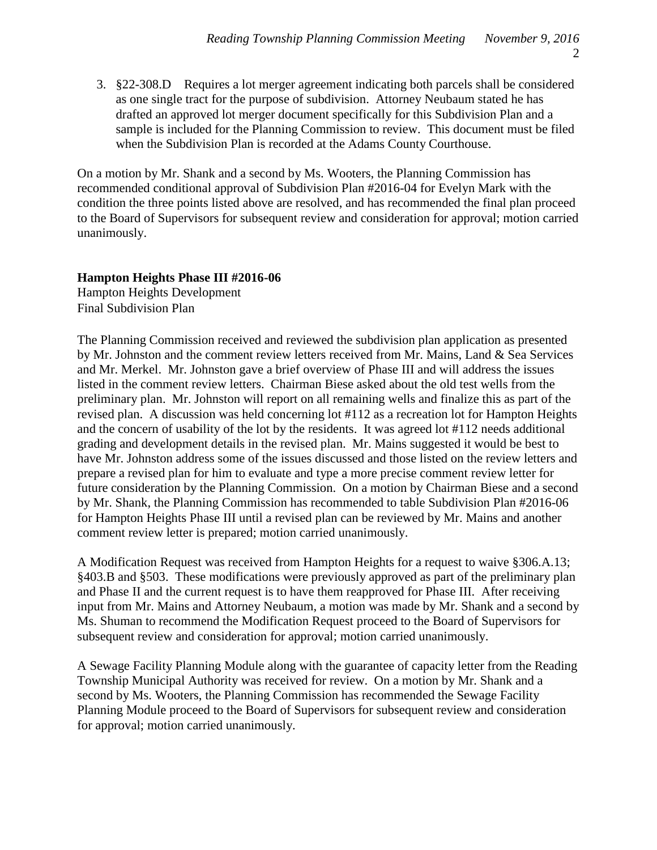3. §22-308.D Requires a lot merger agreement indicating both parcels shall be considered as one single tract for the purpose of subdivision. Attorney Neubaum stated he has drafted an approved lot merger document specifically for this Subdivision Plan and a sample is included for the Planning Commission to review. This document must be filed when the Subdivision Plan is recorded at the Adams County Courthouse.

On a motion by Mr. Shank and a second by Ms. Wooters, the Planning Commission has recommended conditional approval of Subdivision Plan #2016-04 for Evelyn Mark with the condition the three points listed above are resolved, and has recommended the final plan proceed to the Board of Supervisors for subsequent review and consideration for approval; motion carried unanimously.

### **Hampton Heights Phase III #2016-06**

Hampton Heights Development Final Subdivision Plan

The Planning Commission received and reviewed the subdivision plan application as presented by Mr. Johnston and the comment review letters received from Mr. Mains, Land & Sea Services and Mr. Merkel. Mr. Johnston gave a brief overview of Phase III and will address the issues listed in the comment review letters. Chairman Biese asked about the old test wells from the preliminary plan. Mr. Johnston will report on all remaining wells and finalize this as part of the revised plan. A discussion was held concerning lot #112 as a recreation lot for Hampton Heights and the concern of usability of the lot by the residents. It was agreed lot #112 needs additional grading and development details in the revised plan. Mr. Mains suggested it would be best to have Mr. Johnston address some of the issues discussed and those listed on the review letters and prepare a revised plan for him to evaluate and type a more precise comment review letter for future consideration by the Planning Commission. On a motion by Chairman Biese and a second by Mr. Shank, the Planning Commission has recommended to table Subdivision Plan #2016-06 for Hampton Heights Phase III until a revised plan can be reviewed by Mr. Mains and another comment review letter is prepared; motion carried unanimously.

A Modification Request was received from Hampton Heights for a request to waive §306.A.13; §403.B and §503. These modifications were previously approved as part of the preliminary plan and Phase II and the current request is to have them reapproved for Phase III. After receiving input from Mr. Mains and Attorney Neubaum, a motion was made by Mr. Shank and a second by Ms. Shuman to recommend the Modification Request proceed to the Board of Supervisors for subsequent review and consideration for approval; motion carried unanimously.

A Sewage Facility Planning Module along with the guarantee of capacity letter from the Reading Township Municipal Authority was received for review. On a motion by Mr. Shank and a second by Ms. Wooters, the Planning Commission has recommended the Sewage Facility Planning Module proceed to the Board of Supervisors for subsequent review and consideration for approval; motion carried unanimously.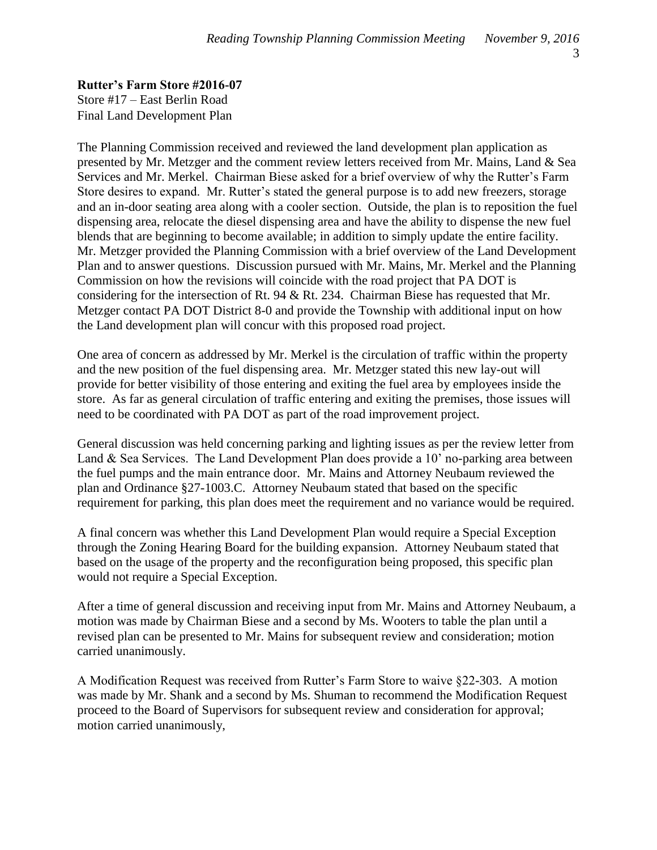**Rutter's Farm Store #2016-07** Store #17 – East Berlin Road Final Land Development Plan

The Planning Commission received and reviewed the land development plan application as presented by Mr. Metzger and the comment review letters received from Mr. Mains, Land & Sea Services and Mr. Merkel. Chairman Biese asked for a brief overview of why the Rutter's Farm Store desires to expand. Mr. Rutter's stated the general purpose is to add new freezers, storage and an in-door seating area along with a cooler section. Outside, the plan is to reposition the fuel dispensing area, relocate the diesel dispensing area and have the ability to dispense the new fuel blends that are beginning to become available; in addition to simply update the entire facility. Mr. Metzger provided the Planning Commission with a brief overview of the Land Development Plan and to answer questions. Discussion pursued with Mr. Mains, Mr. Merkel and the Planning Commission on how the revisions will coincide with the road project that PA DOT is considering for the intersection of Rt. 94 & Rt. 234. Chairman Biese has requested that Mr. Metzger contact PA DOT District 8-0 and provide the Township with additional input on how the Land development plan will concur with this proposed road project.

One area of concern as addressed by Mr. Merkel is the circulation of traffic within the property and the new position of the fuel dispensing area. Mr. Metzger stated this new lay-out will provide for better visibility of those entering and exiting the fuel area by employees inside the store. As far as general circulation of traffic entering and exiting the premises, those issues will need to be coordinated with PA DOT as part of the road improvement project.

General discussion was held concerning parking and lighting issues as per the review letter from Land & Sea Services. The Land Development Plan does provide a 10' no-parking area between the fuel pumps and the main entrance door. Mr. Mains and Attorney Neubaum reviewed the plan and Ordinance §27-1003.C. Attorney Neubaum stated that based on the specific requirement for parking, this plan does meet the requirement and no variance would be required.

A final concern was whether this Land Development Plan would require a Special Exception through the Zoning Hearing Board for the building expansion. Attorney Neubaum stated that based on the usage of the property and the reconfiguration being proposed, this specific plan would not require a Special Exception.

After a time of general discussion and receiving input from Mr. Mains and Attorney Neubaum, a motion was made by Chairman Biese and a second by Ms. Wooters to table the plan until a revised plan can be presented to Mr. Mains for subsequent review and consideration; motion carried unanimously.

A Modification Request was received from Rutter's Farm Store to waive §22-303. A motion was made by Mr. Shank and a second by Ms. Shuman to recommend the Modification Request proceed to the Board of Supervisors for subsequent review and consideration for approval; motion carried unanimously,